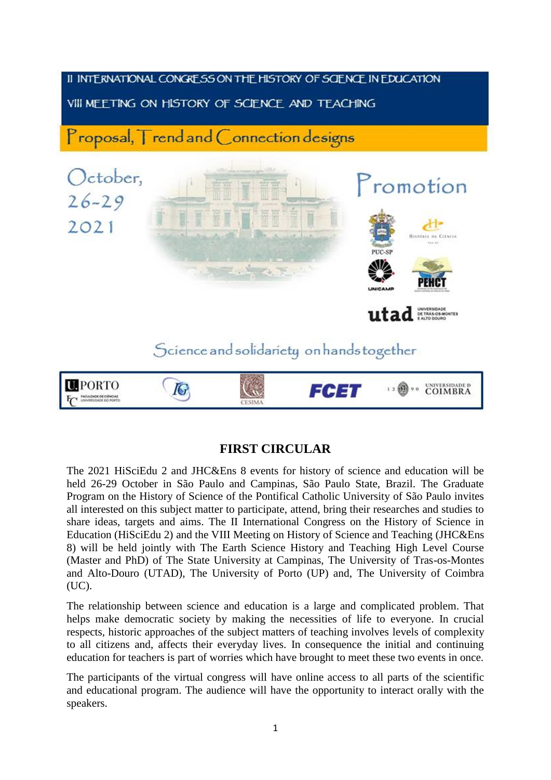

## **FIRST CIRCULAR**

The 2021 HiSciEdu 2 and JHC&Ens 8 events for history of science and education will be held 26-29 October in São Paulo and Campinas, São Paulo State, Brazil. The Graduate Program on the History of Science of the Pontifical Catholic University of São Paulo invites all interested on this subject matter to participate, attend, bring their researches and studies to share ideas, targets and aims. The II International Congress on the History of Science in Education (HiSciEdu 2) and the VIII Meeting on History of Science and Teaching (JHC&Ens 8) will be held jointly with The Earth Science History and Teaching High Level Course (Master and PhD) of The State University at Campinas, The University of Tras-os-Montes and Alto-Douro (UTAD), The University of Porto (UP) and, The University of Coimbra (UC).

The relationship between science and education is a large and complicated problem. That helps make democratic society by making the necessities of life to everyone. In crucial respects, historic approaches of the subject matters of teaching involves levels of complexity to all citizens and, affects their everyday lives. In consequence the initial and continuing education for teachers is part of worries which have brought to meet these two events in once.

The participants of the virtual congress will have online access to all parts of the scientific and educational program. The audience will have the opportunity to interact orally with the speakers.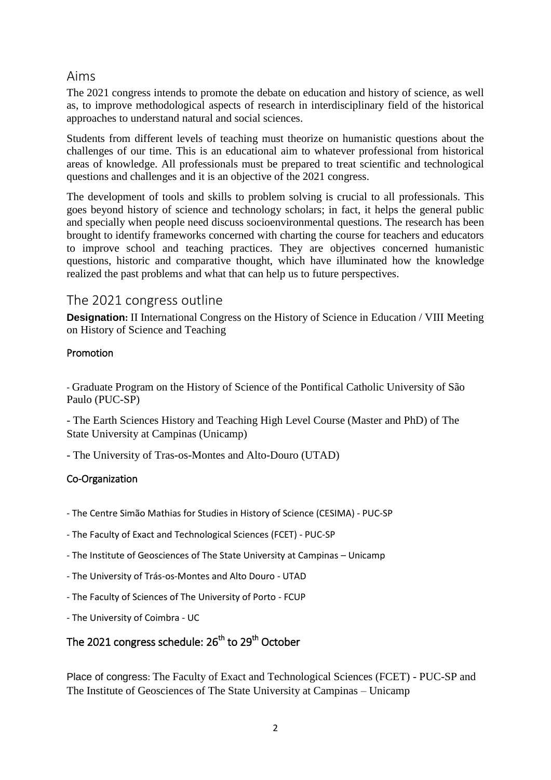### Aims

The 2021 congress intends to promote the debate on education and history of science, as well as, to improve methodological aspects of research in interdisciplinary field of the historical approaches to understand natural and social sciences.

Students from different levels of teaching must theorize on humanistic questions about the challenges of our time. This is an educational aim to whatever professional from historical areas of knowledge. All professionals must be prepared to treat scientific and technological questions and challenges and it is an objective of the 2021 congress.

The development of tools and skills to problem solving is crucial to all professionals. This goes beyond history of science and technology scholars; in fact, it helps the general public and specially when people need discuss socioenvironmental questions. The research has been brought to identify frameworks concerned with charting the course for teachers and educators to improve school and teaching practices. They are objectives concerned humanistic questions, historic and comparative thought, which have illuminated how the knowledge realized the past problems and what that can help us to future perspectives.

## The 2021 congress outline

**Designation:** II International Congress on the History of Science in Education / VIII Meeting on History of Science and Teaching

### Promotion

- Graduate Program on the History of Science of the Pontifical Catholic University of São Paulo (PUC-SP)

- The Earth Sciences History and Teaching High Level Course (Master and PhD) of The State University at Campinas (Unicamp)

- The University of Tras-os-Montes and Alto-Douro (UTAD)

### Co-Organization

- The Centre Simão Mathias for Studies in History of Science (CESIMA) PUC-SP
- The Faculty of Exact and Technological Sciences (FCET) PUC-SP
- The Institute of Geosciences of The State University at Campinas Unicamp
- The University of Trás-os-Montes and Alto Douro UTAD
- The Faculty of Sciences of The University of Porto FCUP
- The University of Coimbra UC

## The 2021 congress schedule: 26<sup>th</sup> to 29<sup>th</sup> October

Place of congress: The Faculty of Exact and Technological Sciences (FCET) - PUC-SP and The Institute of Geosciences of The State University at Campinas – Unicamp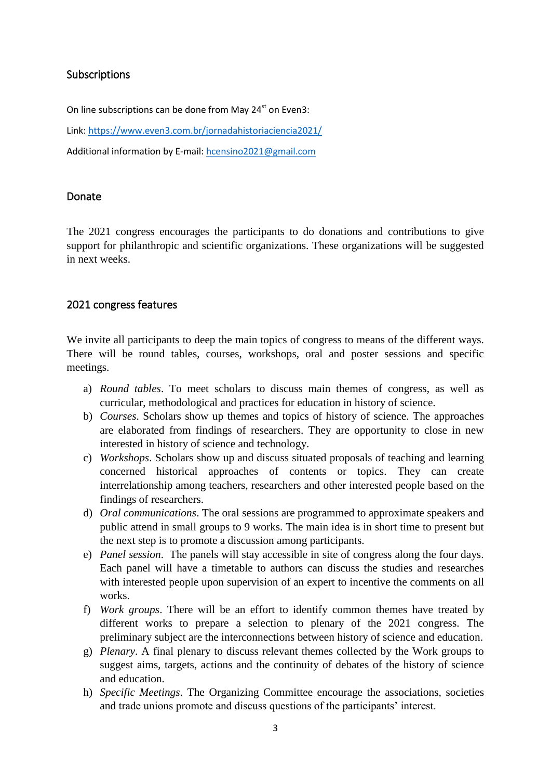#### Subscriptions

On line subscriptions can be done from May 24<sup>st</sup> on Even3:

Link:<https://www.even3.com.br/jornadahistoriaciencia2021/>

Additional information by E-mail: [hcensino2021@gmail.com](mailto:hcensino2021@gmail.com)

#### Donate

The 2021 congress encourages the participants to do donations and contributions to give support for philanthropic and scientific organizations. These organizations will be suggested in next weeks.

### 2021 congress features

We invite all participants to deep the main topics of congress to means of the different ways. There will be round tables, courses, workshops, oral and poster sessions and specific meetings.

- a) *Round tables*. To meet scholars to discuss main themes of congress, as well as curricular, methodological and practices for education in history of science.
- b) *Courses*. Scholars show up themes and topics of history of science. The approaches are elaborated from findings of researchers. They are opportunity to close in new interested in history of science and technology.
- c) *Workshops*. Scholars show up and discuss situated proposals of teaching and learning concerned historical approaches of contents or topics. They can create interrelationship among teachers, researchers and other interested people based on the findings of researchers.
- d) *Oral communications*. The oral sessions are programmed to approximate speakers and public attend in small groups to 9 works. The main idea is in short time to present but the next step is to promote a discussion among participants.
- e) *Panel session*. The panels will stay accessible in site of congress along the four days. Each panel will have a timetable to authors can discuss the studies and researches with interested people upon supervision of an expert to incentive the comments on all works.
- f) *Work groups*. There will be an effort to identify common themes have treated by different works to prepare a selection to plenary of the 2021 congress. The preliminary subject are the interconnections between history of science and education.
- g) *Plenary*. A final plenary to discuss relevant themes collected by the Work groups to suggest aims, targets, actions and the continuity of debates of the history of science and education.
- h) *Specific Meetings*. The Organizing Committee encourage the associations, societies and trade unions promote and discuss questions of the participants' interest.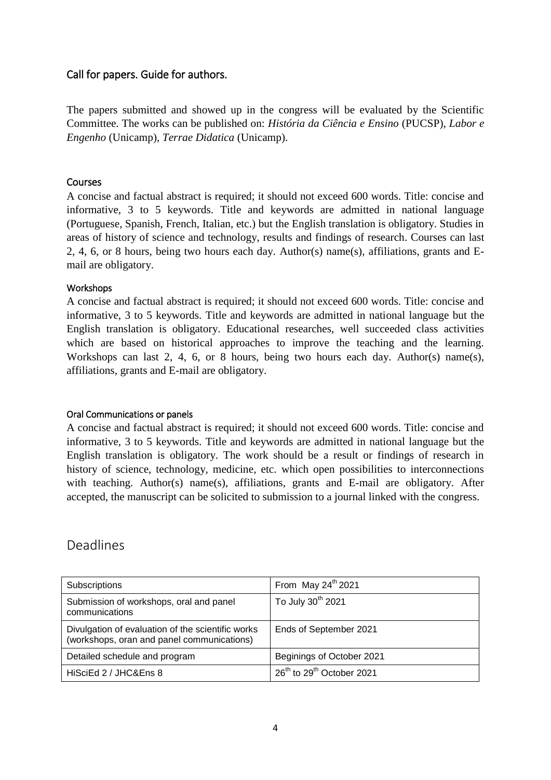#### Call for papers. Guide for authors.

The papers submitted and showed up in the congress will be evaluated by the Scientific Committee. The works can be published on: *História da Ciência e Ensino* (PUCSP), *Labor e Engenho* (Unicamp), *Terrae Didatica* (Unicamp).

#### Courses

A concise and factual abstract is required; it should not exceed 600 words. Title: concise and informative, 3 to 5 keywords. Title and keywords are admitted in national language (Portuguese, Spanish, French, Italian, etc.) but the English translation is obligatory. Studies in areas of history of science and technology, results and findings of research. Courses can last 2, 4, 6, or 8 hours, being two hours each day. Author(s) name(s), affiliations, grants and Email are obligatory.

#### **Workshops**

A concise and factual abstract is required; it should not exceed 600 words. Title: concise and informative, 3 to 5 keywords. Title and keywords are admitted in national language but the English translation is obligatory. Educational researches, well succeeded class activities which are based on historical approaches to improve the teaching and the learning. Workshops can last 2, 4, 6, or 8 hours, being two hours each day. Author(s) name(s), affiliations, grants and E-mail are obligatory.

#### Oral Communications or panels

A concise and factual abstract is required; it should not exceed 600 words. Title: concise and informative, 3 to 5 keywords. Title and keywords are admitted in national language but the English translation is obligatory. The work should be a result or findings of research in history of science, technology, medicine, etc. which open possibilities to interconnections with teaching. Author(s) name(s), affiliations, grants and E-mail are obligatory. After accepted, the manuscript can be solicited to submission to a journal linked with the congress.

## Deadlines

| Subscriptions                                                                                   | From May $24^{th}$ 2021                           |
|-------------------------------------------------------------------------------------------------|---------------------------------------------------|
| Submission of workshops, oral and panel<br>communications                                       | To July 30 <sup>th</sup> 2021                     |
| Divulgation of evaluation of the scientific works<br>(workshops, oran and panel communications) | Ends of September 2021                            |
| Detailed schedule and program                                                                   | Beginings of October 2021                         |
| HiSciEd 2 / JHC&Ens 8                                                                           | 26 <sup>th</sup> to 29 <sup>th</sup> October 2021 |